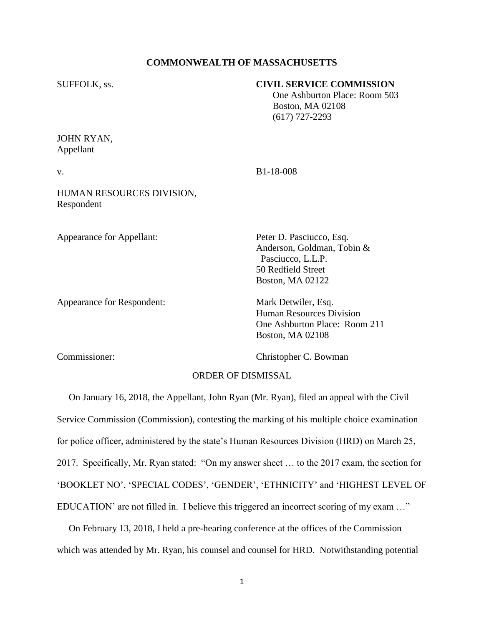## **COMMONWEALTH OF MASSACHUSETTS**

## SUFFOLK, ss. **CIVIL SERVICE COMMISSION**

 One Ashburton Place: Room 503 Boston, MA 02108 (617) 727-2293

JOHN RYAN, Appellant

v. B1-18-008

HUMAN RESOURCES DIVISION, Respondent

Appearance for Appellant: Peter D. Pasciucco, Esq.

Appearance for Respondent: Mark Detwiler, Esq.

Anderson, Goldman, Tobin & Pasciucco, L.L.P. 50 Redfield Street Boston, MA 02122

Human Resources Division One Ashburton Place: Room 211 Boston, MA 02108

Commissioner: Christopher C. Bowman

## ORDER OF DISMISSAL

 On January 16, 2018, the Appellant, John Ryan (Mr. Ryan), filed an appeal with the Civil Service Commission (Commission), contesting the marking of his multiple choice examination for police officer, administered by the state's Human Resources Division (HRD) on March 25, 2017. Specifically, Mr. Ryan stated: "On my answer sheet … to the 2017 exam, the section for 'BOOKLET NO', 'SPECIAL CODES', 'GENDER', 'ETHNICITY' and 'HIGHEST LEVEL OF EDUCATION' are not filled in. I believe this triggered an incorrect scoring of my exam …"

 On February 13, 2018, I held a pre-hearing conference at the offices of the Commission which was attended by Mr. Ryan, his counsel and counsel for HRD. Notwithstanding potential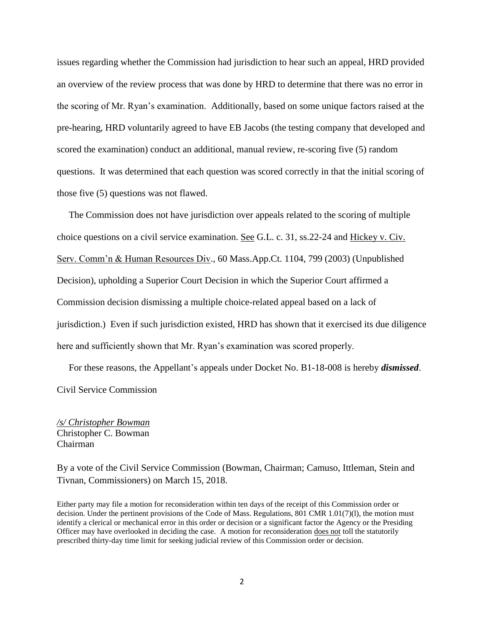issues regarding whether the Commission had jurisdiction to hear such an appeal, HRD provided an overview of the review process that was done by HRD to determine that there was no error in the scoring of Mr. Ryan's examination. Additionally, based on some unique factors raised at the pre-hearing, HRD voluntarily agreed to have EB Jacobs (the testing company that developed and scored the examination) conduct an additional, manual review, re-scoring five (5) random questions. It was determined that each question was scored correctly in that the initial scoring of those five (5) questions was not flawed.

 The Commission does not have jurisdiction over appeals related to the scoring of multiple choice questions on a civil service examination. See G.L. c. 31, ss.22-24 and Hickey v. Civ. Serv. Comm'n & Human Resources Div., 60 Mass.App.Ct. 1104, 799 (2003) (Unpublished Decision), upholding a Superior Court Decision in which the Superior Court affirmed a Commission decision dismissing a multiple choice-related appeal based on a lack of jurisdiction.) Even if such jurisdiction existed, HRD has shown that it exercised its due diligence here and sufficiently shown that Mr. Ryan's examination was scored properly.

 For these reasons, the Appellant's appeals under Docket No. B1-18-008 is hereby *dismissed*. Civil Service Commission

*/s/ Christopher Bowman* Christopher C. Bowman Chairman

By a vote of the Civil Service Commission (Bowman, Chairman; Camuso, Ittleman, Stein and Tivnan, Commissioners) on March 15, 2018.

Either party may file a motion for reconsideration within ten days of the receipt of this Commission order or decision. Under the pertinent provisions of the Code of Mass. Regulations, 801 CMR 1.01(7)(l), the motion must identify a clerical or mechanical error in this order or decision or a significant factor the Agency or the Presiding Officer may have overlooked in deciding the case. A motion for reconsideration does not toll the statutorily prescribed thirty-day time limit for seeking judicial review of this Commission order or decision.